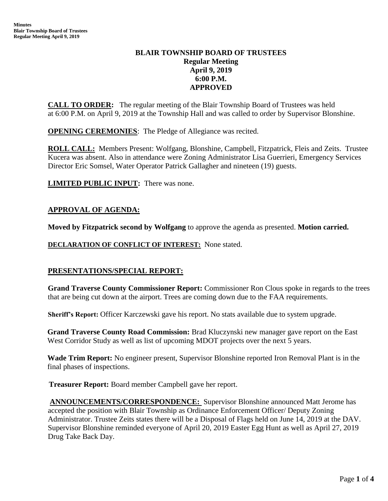# **BLAIR TOWNSHIP BOARD OF TRUSTEES Regular Meeting April 9, 2019 6:00 P.M. APPROVED**

**CALL TO ORDER:** The regular meeting of the Blair Township Board of Trustees was held at 6:00 P.M. on April 9, 2019 at the Township Hall and was called to order by Supervisor Blonshine.

**OPENING CEREMONIES**: The Pledge of Allegiance was recited.

**ROLL CALL:** Members Present: Wolfgang, Blonshine, Campbell, Fitzpatrick, Fleis and Zeits. Trustee Kucera was absent. Also in attendance were Zoning Administrator Lisa Guerrieri, Emergency Services Director Eric Somsel, Water Operator Patrick Gallagher and nineteen (19) guests.

**LIMITED PUBLIC INPUT:** There was none.

# **APPROVAL OF AGENDA:**

**Moved by Fitzpatrick second by Wolfgang** to approve the agenda as presented. **Motion carried.**

**DECLARATION OF CONFLICT OF INTEREST:** None stated.

# **PRESENTATIONS/SPECIAL REPORT:**

**Grand Traverse County Commissioner Report:** Commissioner Ron Clous spoke in regards to the trees that are being cut down at the airport. Trees are coming down due to the FAA requirements.

**Sheriff's Report:** Officer Karczewski gave his report. No stats available due to system upgrade.

**Grand Traverse County Road Commission:** Brad Kluczynski new manager gave report on the East West Corridor Study as well as list of upcoming MDOT projects over the next 5 years.

**Wade Trim Report:** No engineer present, Supervisor Blonshine reported Iron Removal Plant is in the final phases of inspections.

 **Treasurer Report:** Board member Campbell gave her report.

**ANNOUNCEMENTS/CORRESPONDENCE:** Supervisor Blonshine announced Matt Jerome has accepted the position with Blair Township as Ordinance Enforcement Officer/ Deputy Zoning Administrator. Trustee Zeits states there will be a Disposal of Flags held on June 14, 2019 at the DAV. Supervisor Blonshine reminded everyone of April 20, 2019 Easter Egg Hunt as well as April 27, 2019 Drug Take Back Day.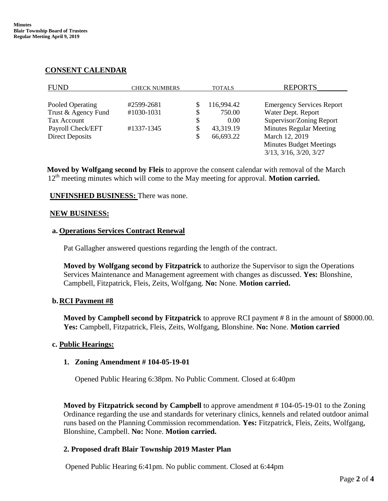# **CONSENT CALENDAR**

| <b>FUND</b>            | <b>CHECK NUMBERS</b> |    | <b>TOTALS</b> | <b>REPORTS</b>                    |
|------------------------|----------------------|----|---------------|-----------------------------------|
|                        |                      |    |               |                                   |
| Pooled Operating       | #2599-2681           |    | 116,994.42    | <b>Emergency Services Report</b>  |
| Trust & Agency Fund    | #1030-1031           |    | 750.00        | Water Dept. Report                |
| <b>Tax Account</b>     |                      | \$ | 0.00          | Supervisor/Zoning Report          |
| Payroll Check/EFT      | #1337-1345           | S  | 43,319.19     | <b>Minutes Regular Meeting</b>    |
| <b>Direct Deposits</b> |                      |    | 66,693.22     | March 12, 2019                    |
|                        |                      |    |               | <b>Minutes Budget Meetings</b>    |
|                        |                      |    |               | $3/13$ , $3/16$ , $3/20$ , $3/27$ |
|                        |                      |    |               |                                   |

**Moved by Wolfgang second by Fleis** to approve the consent calendar with removal of the March 12<sup>th</sup> meeting minutes which will come to the May meeting for approval. **Motion carried.** 

## **UNFINSHED BUSINESS:** There was none.

#### **NEW BUSINESS:**

#### **a. Operations Services Contract Renewal**

Pat Gallagher answered questions regarding the length of the contract.

**Moved by Wolfgang second by Fitzpatrick** to authorize the Supervisor to sign the Operations Services Maintenance and Management agreement with changes as discussed. **Yes:** Blonshine, Campbell, Fitzpatrick, Fleis, Zeits, Wolfgang. **No:** None. **Motion carried.**

## **b.RCI Payment #8**

**Moved by Campbell second by Fitzpatrick** to approve RCI payment # 8 in the amount of \$8000.00. **Yes:** Campbell, Fitzpatrick, Fleis, Zeits, Wolfgang, Blonshine. **No:** None. **Motion carried**

## **c. Public Hearings:**

## **1. Zoning Amendment # 104-05-19-01**

Opened Public Hearing 6:38pm. No Public Comment. Closed at 6:40pm

**Moved by Fitzpatrick second by Campbell** to approve amendment # 104-05-19-01 to the Zoning Ordinance regarding the use and standards for veterinary clinics, kennels and related outdoor animal runs based on the Planning Commission recommendation. **Yes:** Fitzpatrick, Fleis, Zeits, Wolfgang, Blonshine, Campbell. **No:** None. **Motion carried.**

## **2. Proposed draft Blair Township 2019 Master Plan**

Opened Public Hearing 6:41pm. No public comment. Closed at 6:44pm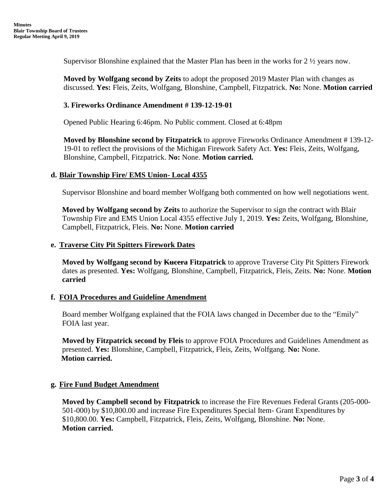Supervisor Blonshine explained that the Master Plan has been in the works for 2 ½ years now.

**Moved by Wolfgang second by Zeits** to adopt the proposed 2019 Master Plan with changes as discussed. **Yes:** Fleis, Zeits, Wolfgang, Blonshine, Campbell, Fitzpatrick. **No:** None. **Motion carried**

### **3. Fireworks Ordinance Amendment # 139-12-19-01**

Opened Public Hearing 6:46pm. No Public comment. Closed at 6:48pm

**Moved by Blonshine second by Fitzpatrick** to approve Fireworks Ordinance Amendment # 139-12- 19-01 to reflect the provisions of the Michigan Firework Safety Act. **Yes:** Fleis, Zeits, Wolfgang, Blonshine, Campbell, Fitzpatrick. **No:** None. **Motion carried.**

## **d. Blair Township Fire/ EMS Union- Local 4355**

Supervisor Blonshine and board member Wolfgang both commented on how well negotiations went.

**Moved by Wolfgang second by Zeits** to authorize the Supervisor to sign the contract with Blair Township Fire and EMS Union Local 4355 effective July 1, 2019. **Yes:** Zeits, Wolfgang, Blonshine, Campbell, Fitzpatrick, Fleis. **No:** None. **Motion carried** 

#### **e. Traverse City Pit Spitters Firework Dates**

**Moved by Wolfgang second by Kucera Fitzpatrick** to approve Traverse City Pit Spitters Firework dates as presented. **Yes:** Wolfgang, Blonshine, Campbell, Fitzpatrick, Fleis, Zeits. **No:** None. **Motion carried**

## **f. FOIA Procedures and Guideline Amendment**

Board member Wolfgang explained that the FOIA laws changed in December due to the "Emily" FOIA last year.

**Moved by Fitzpatrick second by Fleis** to approve FOIA Procedures and Guidelines Amendment as presented. **Yes:** Blonshine, Campbell, Fitzpatrick, Fleis, Zeits, Wolfgang. **No:** None.  **Motion carried.**

## **g. Fire Fund Budget Amendment**

**Moved by Campbell second by Fitzpatrick** to increase the Fire Revenues Federal Grants (205-000- 501-000) by \$10,800.00 and increase Fire Expenditures Special Item- Grant Expenditures by \$10,800.00. **Yes:** Campbell, Fitzpatrick, Fleis, Zeits, Wolfgang, Blonshine. **No:** None. **Motion carried.**